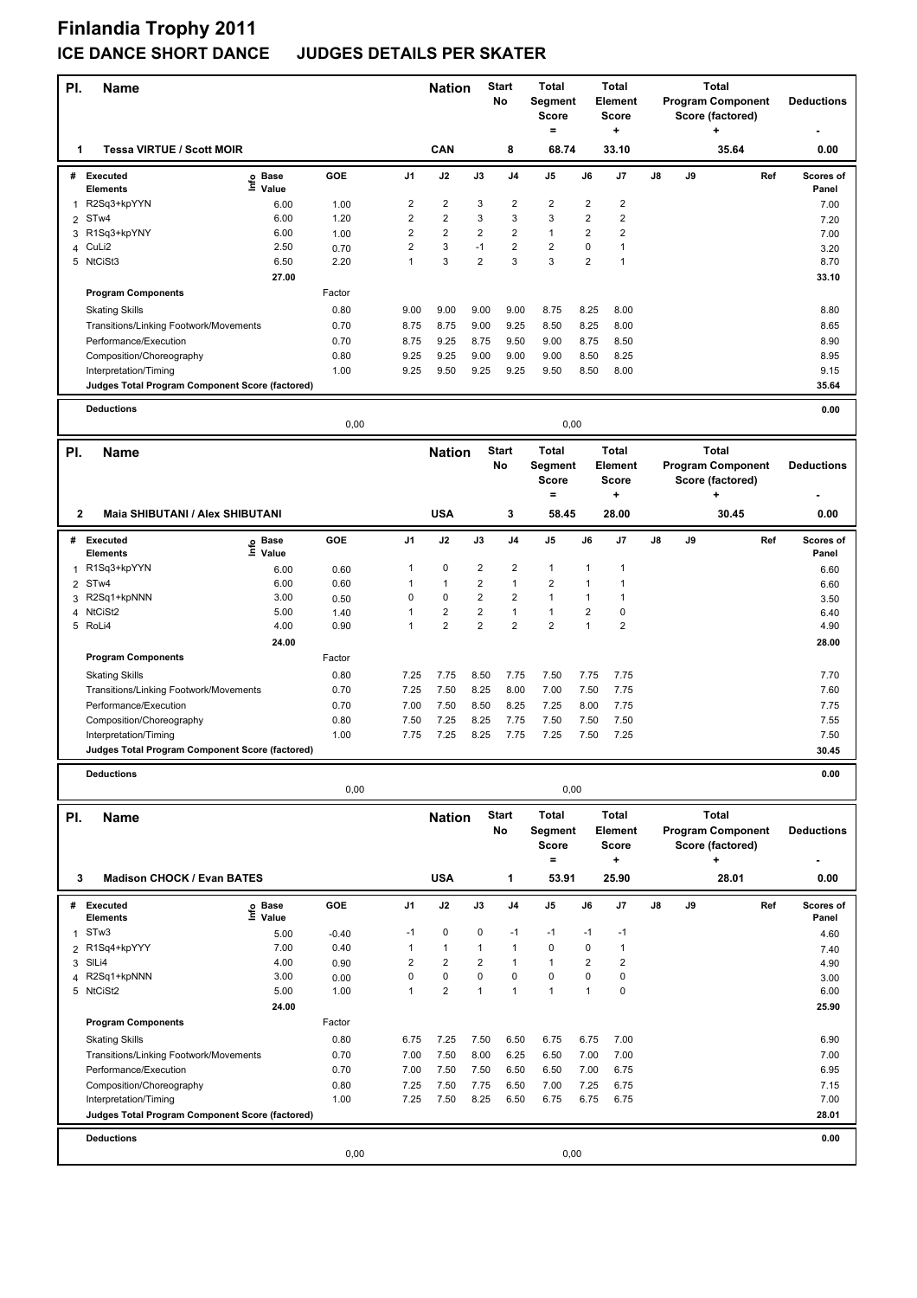### **Finlandia Trophy 2011 ICE DANCE SHORT DANCE JUDGES DETAILS PER SKATER**

|                     |                                                 |                              |              |                |                     |                                        | <b>Start</b>            | <b>Total</b>            |                                         | <b>Total</b>            |    |    | <b>Total</b>             |                    |
|---------------------|-------------------------------------------------|------------------------------|--------------|----------------|---------------------|----------------------------------------|-------------------------|-------------------------|-----------------------------------------|-------------------------|----|----|--------------------------|--------------------|
| PI.                 | <b>Name</b>                                     |                              |              |                | <b>Nation</b>       |                                        | No                      | Segment                 |                                         | Element                 |    |    | <b>Program Component</b> | <b>Deductions</b>  |
|                     |                                                 |                              |              |                |                     |                                        |                         | <b>Score</b>            |                                         | <b>Score</b>            |    |    | Score (factored)         |                    |
|                     |                                                 |                              |              |                |                     |                                        |                         | $\qquad \qquad =$       |                                         | +                       |    |    |                          |                    |
| 1                   | <b>Tessa VIRTUE / Scott MOIR</b>                |                              |              |                | CAN                 |                                        | 8                       | 68.74                   |                                         | 33.10                   |    |    | 35.64                    | 0.00               |
|                     | # Executed                                      | e Base<br>⊆ Value            | GOE          | J1             | J2                  | J3                                     | J4                      | J5                      | J6                                      | J7                      | J8 | J9 | Ref                      | Scores of          |
|                     | <b>Elements</b><br>R2Sq3+kpYYN                  |                              |              | 2              | 2                   | 3                                      | 2                       | 2                       | $\overline{\mathbf{c}}$                 | 2                       |    |    |                          | Panel              |
| 1<br>$\overline{2}$ | ST <sub>w</sub> 4                               | 6.00<br>6.00                 | 1.00<br>1.20 | $\overline{2}$ | $\overline{2}$      | 3                                      | 3                       | 3                       | $\overline{2}$                          | $\overline{\mathbf{c}}$ |    |    |                          | 7.00               |
|                     | 3 R1Sq3+kpYNY                                   | 6.00                         | 1.00         | $\overline{2}$ | $\overline{2}$      | $\overline{2}$                         | 2                       | $\mathbf{1}$            | $\overline{2}$                          | $\overline{\mathbf{c}}$ |    |    |                          | 7.20<br>7.00       |
| 4                   | CuLi2                                           | 2.50                         | 0.70         | $\overline{2}$ | 3                   | $-1$                                   | $\overline{\mathbf{c}}$ | $\overline{\mathbf{c}}$ | $\mathbf 0$                             | $\mathbf{1}$            |    |    |                          | 3.20               |
|                     | 5 NtCiSt3                                       | 6.50                         | 2.20         | $\mathbf{1}$   | 3                   | $\overline{2}$                         | 3                       | 3                       | $\overline{2}$                          | $\mathbf{1}$            |    |    |                          | 8.70               |
|                     |                                                 | 27.00                        |              |                |                     |                                        |                         |                         |                                         |                         |    |    |                          | 33.10              |
|                     | <b>Program Components</b>                       |                              | Factor       |                |                     |                                        |                         |                         |                                         |                         |    |    |                          |                    |
|                     | <b>Skating Skills</b>                           |                              | 0.80         | 9.00           | 9.00                | 9.00                                   | 9.00                    | 8.75                    | 8.25                                    | 8.00                    |    |    |                          | 8.80               |
|                     | Transitions/Linking Footwork/Movements          |                              | 0.70         | 8.75           | 8.75                | 9.00                                   | 9.25                    | 8.50                    | 8.25                                    | 8.00                    |    |    |                          | 8.65               |
|                     | Performance/Execution                           |                              | 0.70         | 8.75           | 9.25                | 8.75                                   | 9.50                    | 9.00                    | 8.75                                    | 8.50                    |    |    |                          | 8.90               |
|                     | Composition/Choreography                        |                              | 0.80         | 9.25           | 9.25                | 9.00                                   | 9.00                    | 9.00                    | 8.50                                    | 8.25                    |    |    |                          | 8.95               |
|                     | Interpretation/Timing                           |                              | 1.00         | 9.25           | 9.50                | 9.25                                   | 9.25                    | 9.50                    | 8.50                                    | 8.00                    |    |    |                          | 9.15               |
|                     | Judges Total Program Component Score (factored) |                              |              |                |                     |                                        |                         |                         |                                         |                         |    |    |                          | 35.64              |
|                     |                                                 |                              |              |                |                     |                                        |                         |                         |                                         |                         |    |    |                          |                    |
|                     | <b>Deductions</b>                               |                              |              |                |                     |                                        |                         |                         |                                         |                         |    |    |                          | 0.00               |
|                     |                                                 |                              | 0,00         |                |                     |                                        |                         | 0,00                    |                                         |                         |    |    |                          |                    |
| PI.                 | <b>Name</b>                                     |                              |              |                | <b>Nation</b>       |                                        | <b>Start</b>            | <b>Total</b>            |                                         | <b>Total</b>            |    |    | <b>Total</b>             |                    |
|                     |                                                 |                              |              |                |                     |                                        | No                      | Segment                 |                                         | <b>Element</b>          |    |    | <b>Program Component</b> | <b>Deductions</b>  |
|                     |                                                 |                              |              |                |                     |                                        |                         | <b>Score</b>            |                                         | Score                   |    |    | Score (factored)         |                    |
|                     |                                                 |                              |              |                |                     |                                        |                         | $\equiv$                |                                         | ٠                       |    |    | ٠                        |                    |
| 2                   | Maia SHIBUTANI / Alex SHIBUTANI                 |                              |              |                | <b>USA</b>          |                                        | 3                       | 58.45                   |                                         | 28.00                   |    |    | 30.45                    | 0.00               |
|                     |                                                 |                              |              |                |                     |                                        |                         |                         |                                         |                         |    |    |                          |                    |
| #                   | <b>Executed</b>                                 | e Base<br>E Value            | GOE          | J1             | J2                  | J3                                     | J4                      | J5                      | J6                                      | J7                      | J8 | J9 | Ref                      | Scores of          |
|                     | Elements                                        |                              |              |                |                     |                                        |                         |                         |                                         |                         |    |    |                          | Panel              |
| 1                   | R1Sq3+kpYYN                                     | 6.00                         | 0.60         | $\mathbf{1}$   | 0                   | $\overline{2}$                         | 2                       | $\mathbf{1}$            | $\mathbf{1}$                            | 1                       |    |    |                          | 6.60               |
| $\overline{2}$      | STw4                                            | 6.00                         | 0.60         | 1              | $\mathbf{1}$        | $\mathbf 2$<br>$\overline{\mathbf{c}}$ | 1                       | 2<br>$\mathbf{1}$       | $\mathbf{1}$                            | $\mathbf{1}$            |    |    |                          | 6.60               |
| 3                   | R2Sq1+kpNNN                                     | 3.00<br>5.00                 | 0.50         | 0<br>1         | 0<br>$\overline{2}$ | $\overline{2}$                         | 2<br>1                  | 1                       | $\mathbf{1}$<br>$\overline{\mathbf{c}}$ | 1<br>0                  |    |    |                          | 3.50               |
| 4<br>5              | NtCiSt2<br>RoLi4                                | 4.00                         | 1.40<br>0.90 | 1              | $\overline{2}$      | $\overline{2}$                         | $\overline{2}$          | $\overline{2}$          | $\mathbf{1}$                            | 2                       |    |    |                          | 6.40<br>4.90       |
|                     |                                                 | 24.00                        |              |                |                     |                                        |                         |                         |                                         |                         |    |    |                          | 28.00              |
|                     | <b>Program Components</b>                       |                              | Factor       |                |                     |                                        |                         |                         |                                         |                         |    |    |                          |                    |
|                     |                                                 |                              |              |                |                     |                                        |                         |                         |                                         |                         |    |    |                          |                    |
|                     | <b>Skating Skills</b>                           |                              | 0.80         | 7.25           | 7.75                | 8.50                                   | 7.75                    | 7.50                    | 7.75                                    | 7.75                    |    |    |                          | 7.70               |
|                     | Transitions/Linking Footwork/Movements          |                              | 0.70         | 7.25           | 7.50                | 8.25                                   | 8.00                    | 7.00                    | 7.50                                    | 7.75                    |    |    |                          | 7.60               |
|                     | Performance/Execution                           |                              | 0.70         | 7.00           | 7.50                | 8.50                                   | 8.25                    | 7.25                    | 8.00                                    | 7.75                    |    |    |                          | 7.75               |
|                     | Composition/Choreography                        |                              | 0.80         | 7.50           | 7.25                | 8.25                                   | 7.75                    | 7.50                    | 7.50                                    | 7.50                    |    |    |                          | 7.55               |
|                     | Interpretation/Timing                           |                              | 1.00         | 7.75           | 7.25                | 8.25                                   | 7.75                    | 7.25                    | 7.50                                    | 7.25                    |    |    |                          | 7.50               |
|                     | Judges Total Program Component Score (factored) |                              |              |                |                     |                                        |                         |                         |                                         |                         |    |    |                          | 30.45              |
|                     | <b>Deductions</b>                               |                              |              |                |                     |                                        |                         |                         |                                         |                         |    |    |                          | 0.00               |
|                     |                                                 |                              | 0,00         |                |                     |                                        |                         | 0,00                    |                                         |                         |    |    |                          |                    |
| PI.                 | <b>Name</b>                                     |                              |              |                | <b>Nation</b>       |                                        | <b>Start</b>            | <b>Total</b>            |                                         | Total                   |    |    | <b>Total</b>             |                    |
|                     |                                                 |                              |              |                |                     |                                        | No                      | Segment                 |                                         | <b>Element</b>          |    |    | <b>Program Component</b> | <b>Deductions</b>  |
|                     |                                                 |                              |              |                |                     |                                        |                         | <b>Score</b>            |                                         | <b>Score</b>            |    |    | Score (factored)         |                    |
|                     |                                                 |                              |              |                |                     |                                        |                         | $\equiv$                |                                         | +                       |    |    |                          |                    |
| 3                   | <b>Madison CHOCK / Evan BATES</b>               |                              |              |                | <b>USA</b>          |                                        | 1                       | 53.91                   |                                         | 25.90                   |    |    | 28.01                    | 0.00               |
|                     |                                                 |                              |              |                |                     |                                        |                         |                         |                                         |                         |    |    |                          |                    |
|                     | # Executed<br><b>Elements</b>                   | <b>Base</b><br>١mfo<br>Value | GOE          | J1             | J2                  | J3                                     | J4                      | J5                      | J6                                      | J7                      | J8 | J9 | Ref                      | Scores of<br>Panel |
|                     | STw3                                            |                              |              | $-1$           | 0                   | 0                                      | $-1$                    | $-1$                    | $-1$                                    | $-1$                    |    |    |                          |                    |
| $\mathbf{1}$        | R1Sq4+kpYYY                                     | 5.00<br>7.00                 | $-0.40$      | $\mathbf{1}$   | $\mathbf{1}$        |                                        | 1                       | 0                       | 0                                       | $\mathbf{1}$            |    |    |                          | 4.60               |
| $\overline{2}$      | SIL <sub>i</sub> 4                              | 4.00                         | 0.40         | $\overline{2}$ | $\overline{2}$      | $\mathbf{1}$<br>$\overline{2}$         | 1                       | $\mathbf{1}$            | $\overline{\mathbf{c}}$                 | $\overline{2}$          |    |    |                          | 7.40               |
| 3<br>4              | R2Sq1+kpNNN                                     | 3.00                         | 0.90<br>0.00 | $\mathbf 0$    | $\pmb{0}$           | $\mathbf 0$                            | $\mathbf 0$             | 0                       | 0                                       | 0                       |    |    |                          | 4.90<br>3.00       |
|                     | 5 NtCiSt2                                       | 5.00                         | 1.00         | $\mathbf{1}$   | $\overline{2}$      | $\mathbf{1}$                           | $\mathbf{1}$            | $\mathbf{1}$            | $\mathbf{1}$                            | 0                       |    |    |                          | 6.00               |
|                     |                                                 | 24.00                        |              |                |                     |                                        |                         |                         |                                         |                         |    |    |                          | 25.90              |
|                     | <b>Program Components</b>                       |                              | Factor       |                |                     |                                        |                         |                         |                                         |                         |    |    |                          |                    |
|                     |                                                 |                              |              |                |                     |                                        |                         |                         |                                         |                         |    |    |                          |                    |
|                     | <b>Skating Skills</b>                           |                              | 0.80         | 6.75           | 7.25                | 7.50                                   | 6.50                    | 6.75                    | 6.75                                    | 7.00                    |    |    |                          | 6.90               |
|                     | Transitions/Linking Footwork/Movements          |                              | 0.70         | 7.00           | 7.50                | 8.00                                   | 6.25                    | 6.50                    | 7.00                                    | 7.00                    |    |    |                          | 7.00               |
|                     | Performance/Execution                           |                              | 0.70         | 7.00           | 7.50                | 7.50                                   | 6.50                    | 6.50                    | 7.00                                    | 6.75                    |    |    |                          | 6.95               |

Composition/Choreography 0.80 7.25 7.50 7.75 6.50 7.00 7.25 6.75 7.15 Interpretation/Timing 1.00 7.25 7.50 8.25 6.50 6.75 6.75 6.75 7.00 **Deductions 0.00 Judges Total Program Component Score (factored) 28.01** 0,00 0,00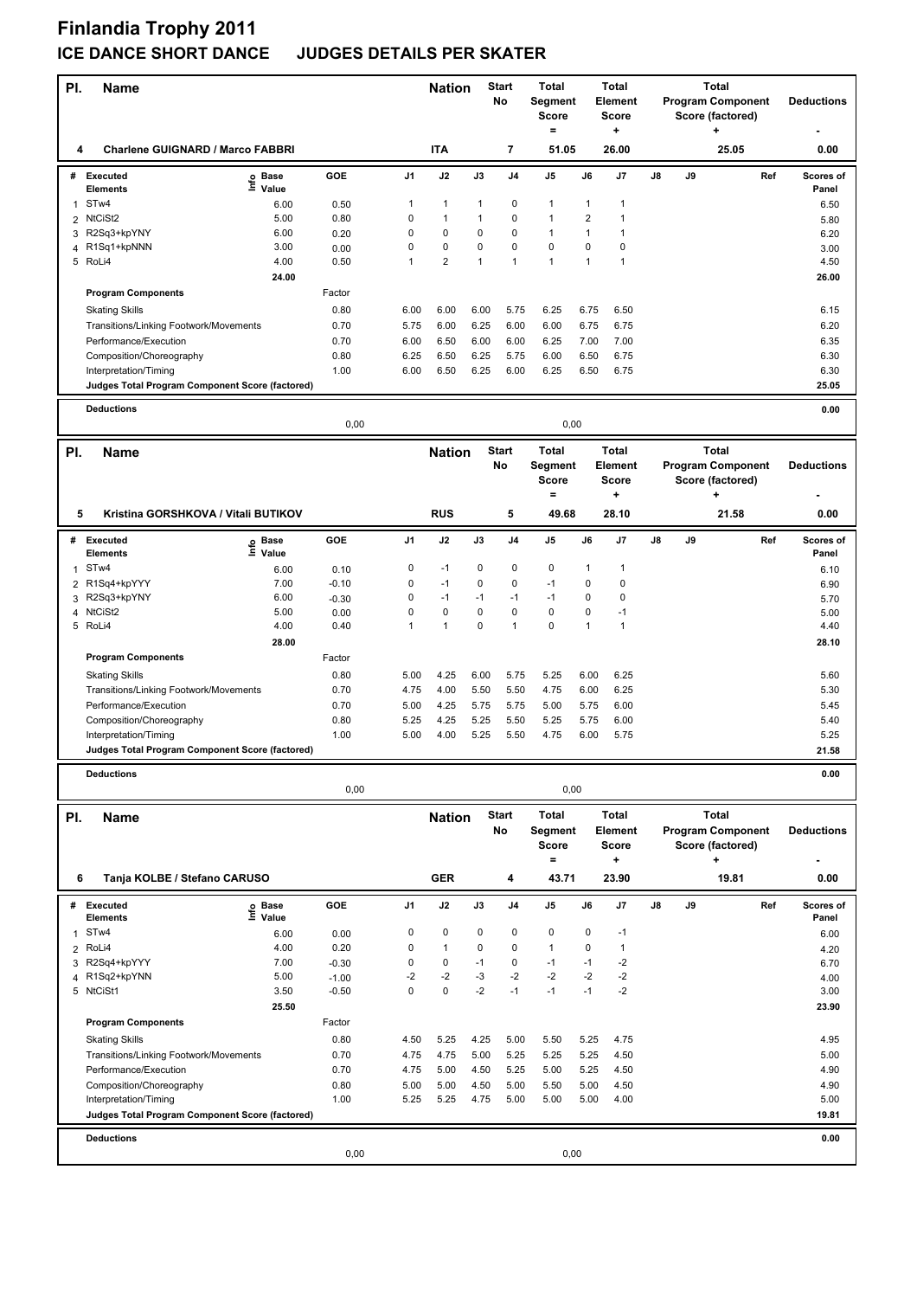# **Finlandia Trophy 2011 ICE DANCE SHORT DANCE JUDGES DETAILS PER SKATER**

| PI.                 | <b>Name</b>                                                     |                   |                 |                | <b>Nation</b>           |                     | <b>Start</b><br>No | Total<br>Segment<br><b>Score</b><br>$=$                          |                         | <b>Total</b><br><b>Element</b><br><b>Score</b><br>÷ |    |                                          | <b>Total</b><br><b>Program Component</b><br>Score (factored)<br>٠ | <b>Deductions</b> |
|---------------------|-----------------------------------------------------------------|-------------------|-----------------|----------------|-------------------------|---------------------|--------------------|------------------------------------------------------------------|-------------------------|-----------------------------------------------------|----|------------------------------------------|-------------------------------------------------------------------|-------------------|
| 4                   | <b>Charlene GUIGNARD / Marco FABBRI</b>                         |                   |                 |                | <b>ITA</b>              |                     | 7                  | 51.05                                                            |                         | 26.00                                               |    |                                          | 25.05                                                             | 0.00              |
|                     | # Executed                                                      | e Base<br>⊑ Value | GOE             | J1             | J2                      | J3                  | J <sub>4</sub>     | J <sub>5</sub>                                                   | J6                      | J7                                                  | J8 | J9                                       | Ref                                                               | <b>Scores of</b>  |
|                     | <b>Elements</b><br>STw4                                         |                   |                 | $\mathbf{1}$   | $\mathbf{1}$            | $\mathbf{1}$        | 0                  | $\mathbf{1}$                                                     | $\mathbf{1}$            | $\mathbf{1}$                                        |    |                                          |                                                                   | Panel             |
| $\mathbf{1}$<br>2   | NtCiSt2                                                         | 6.00<br>5.00      | 0.50<br>0.80    | 0              | $\mathbf{1}$            | $\mathbf{1}$        | 0                  | $\mathbf{1}$                                                     | $\overline{\mathbf{c}}$ | 1                                                   |    |                                          |                                                                   | 6.50<br>5.80      |
|                     | 3 R2Sq3+kpYNY                                                   | 6.00              | 0.20            | 0              | 0                       | 0                   | 0                  | $\mathbf{1}$                                                     | $\mathbf{1}$            | 1                                                   |    |                                          |                                                                   | 6.20              |
| 4                   | R1Sq1+kpNNN                                                     | 3.00              | 0.00            | 0              | 0                       | 0                   | 0                  | $\mathbf 0$                                                      | $\mathbf 0$             | 0                                                   |    |                                          |                                                                   | 3.00              |
|                     | 5 RoLi4                                                         | 4.00              | 0.50            | 1              | $\overline{\mathbf{c}}$ | $\mathbf{1}$        | 1                  | $\mathbf{1}$                                                     | $\mathbf{1}$            | $\mathbf{1}$                                        |    |                                          |                                                                   | 4.50              |
|                     |                                                                 | 24.00             |                 |                |                         |                     |                    |                                                                  |                         |                                                     |    |                                          |                                                                   | 26.00             |
|                     | <b>Program Components</b>                                       |                   | Factor          |                |                         |                     |                    |                                                                  |                         |                                                     |    |                                          |                                                                   |                   |
|                     | <b>Skating Skills</b>                                           |                   | 0.80            | 6.00           | 6.00                    | 6.00                | 5.75               | 6.25                                                             | 6.75                    | 6.50                                                |    |                                          |                                                                   | 6.15              |
|                     | Transitions/Linking Footwork/Movements                          |                   | 0.70            | 5.75           | 6.00                    | 6.25                | 6.00               | 6.00                                                             | 6.75                    | 6.75                                                |    |                                          |                                                                   | 6.20              |
|                     | Performance/Execution<br>Composition/Choreography               |                   | 0.70<br>0.80    | 6.00<br>6.25   | 6.50<br>6.50            | 6.00<br>6.25        | 6.00<br>5.75       | 6.25<br>6.00                                                     | 7.00<br>6.50            | 7.00<br>6.75                                        |    |                                          |                                                                   | 6.35<br>6.30      |
|                     | Interpretation/Timing                                           |                   | 1.00            | 6.00           | 6.50                    | 6.25                | 6.00               | 6.25                                                             | 6.50                    | 6.75                                                |    |                                          |                                                                   | 6.30              |
|                     | Judges Total Program Component Score (factored)                 |                   |                 |                |                         |                     |                    |                                                                  |                         |                                                     |    |                                          |                                                                   | 25.05             |
|                     | <b>Deductions</b>                                               |                   |                 |                |                         |                     |                    |                                                                  |                         |                                                     |    |                                          |                                                                   | 0.00              |
|                     |                                                                 |                   | 0,00            |                |                         |                     |                    | 0,00                                                             |                         |                                                     |    |                                          |                                                                   |                   |
| PI.                 | Name                                                            |                   |                 |                | <b>Nation</b>           |                     | <b>Start</b><br>No | <b>Total</b><br><b>Total</b><br><b>Segment</b><br><b>Element</b> |                         |                                                     |    | <b>Total</b><br><b>Program Component</b> | <b>Deductions</b>                                                 |                   |
|                     |                                                                 |                   |                 |                |                         |                     |                    | <b>Score</b><br>$=$                                              |                         | <b>Score</b><br>÷                                   |    |                                          | Score (factored)<br>٠                                             |                   |
| 5                   | Kristina GORSHKOVA / Vitali BUTIKOV                             |                   |                 |                | <b>RUS</b>              |                     | 5                  | 49.68                                                            |                         | 28.10                                               |    |                                          | 21.58                                                             | 0.00              |
| #                   | <b>Executed</b>                                                 | e Base<br>E Value | GOE             | J <sub>1</sub> | J2                      | J3                  | J <sub>4</sub>     | J <sub>5</sub>                                                   | J6                      | J7                                                  | J8 | J9                                       | Ref                                                               | Scores of         |
| $\mathbf{1}$        | <b>Elements</b><br>STw4                                         | Value<br>6.00     | 0.10            | 0              | $-1$                    | 0                   | 0                  | 0                                                                | $\mathbf{1}$            | 1                                                   |    |                                          |                                                                   | Panel<br>6.10     |
| 2                   | R1Sq4+kpYYY                                                     | 7.00              | $-0.10$         | 0              | $-1$                    | 0                   | 0                  | $-1$                                                             | $\mathbf 0$             | $\mathbf 0$                                         |    |                                          |                                                                   | 6.90              |
| 3                   | R2Sq3+kpYNY                                                     | 6.00              | $-0.30$         | 0              | $-1$                    | $-1$                | $-1$               | $-1$                                                             | $\mathbf 0$             | 0                                                   |    |                                          |                                                                   | 5.70              |
| 4                   | NtCiSt2                                                         | 5.00              | 0.00            | 0              | $\mathbf 0$             | 0                   | $\pmb{0}$          | $\pmb{0}$                                                        | $\pmb{0}$               | $-1$                                                |    |                                          |                                                                   | 5.00              |
| 5                   | RoLi4                                                           | 4.00              | 0.40            | $\mathbf{1}$   | $\mathbf{1}$            | 0                   | $\mathbf{1}$       | $\mathbf 0$                                                      | $\mathbf{1}$            | 1                                                   |    |                                          |                                                                   | 4.40              |
|                     |                                                                 | 28.00             |                 |                |                         |                     |                    |                                                                  |                         |                                                     |    |                                          |                                                                   | 28.10             |
|                     | <b>Program Components</b>                                       |                   | Factor          |                |                         |                     |                    |                                                                  |                         |                                                     |    |                                          |                                                                   |                   |
|                     | <b>Skating Skills</b>                                           |                   | 0.80            | 5.00           | 4.25                    | 6.00                | 5.75               | 5.25                                                             | 6.00                    | 6.25                                                |    |                                          |                                                                   | 5.60              |
|                     | Transitions/Linking Footwork/Movements<br>Performance/Execution |                   | 0.70<br>0.70    | 4.75<br>5.00   | 4.00<br>4.25            | 5.50<br>5.75        | 5.50<br>5.75       | 4.75<br>5.00                                                     | 6.00<br>5.75            | 6.25<br>6.00                                        |    |                                          |                                                                   | 5.30<br>5.45      |
|                     | Composition/Choreography                                        |                   | 0.80            | 5.25           | 4.25                    | 5.25                | 5.50               | 5.25                                                             | 5.75                    | 6.00                                                |    |                                          |                                                                   | 5.40              |
|                     | Interpretation/Timing                                           |                   | 1.00            | 5.00           | 4.00                    | 5.25                | 5.50               | 4.75                                                             | 6.00                    | 5.75                                                |    |                                          |                                                                   | 5.25              |
|                     | Judges Total Program Component Score (factored)                 |                   |                 |                |                         |                     |                    |                                                                  |                         |                                                     |    |                                          |                                                                   | 21.58             |
|                     | <b>Deductions</b>                                               |                   |                 |                |                         |                     |                    |                                                                  |                         |                                                     |    |                                          |                                                                   | 0.00              |
|                     |                                                                 |                   | 0,00            |                |                         |                     |                    | 0,00                                                             |                         |                                                     |    |                                          |                                                                   |                   |
| PI.                 | <b>Name</b>                                                     |                   |                 |                | <b>Nation</b>           |                     | Start<br><b>No</b> | Total<br>Segment<br><b>Score</b><br>$=$                          |                         | Total<br><b>Element</b><br><b>Score</b>             |    |                                          | <b>Total</b><br><b>Program Component</b><br>Score (factored)      | <b>Deductions</b> |
| 6                   | Tanja KOLBE / Stefano CARUSO                                    |                   |                 |                | <b>GER</b>              |                     | 4                  | 43.71                                                            |                         | $\ddot{}$<br>23.90                                  |    |                                          | ٠<br>19.81                                                        | 0.00              |
| #                   | <b>Executed</b>                                                 | Base<br>lnfo      | GOE             | J1             | J2                      | J3                  | J <sub>4</sub>     | J5                                                               | J6                      | J7                                                  | J8 | J9                                       | Ref                                                               | Scores of         |
|                     | <b>Elements</b>                                                 | Value             |                 |                |                         |                     |                    |                                                                  |                         |                                                     |    |                                          |                                                                   | Panel             |
| $\mathbf{1}$        | STw4                                                            | 6.00              | 0.00            | 0              | 0                       | 0                   | 0                  | 0                                                                | 0                       | $-1$                                                |    |                                          |                                                                   | 6.00              |
| $\overline{2}$<br>3 | RoLi4<br>R2Sq4+kpYYY                                            | 4.00<br>7.00      | 0.20<br>$-0.30$ | 0<br>0         | $\mathbf{1}$<br>0       | $\mathbf 0$<br>$-1$ | 0<br>0             | $\mathbf{1}$<br>$-1$                                             | $\mathbf 0$<br>$-1$     | $\mathbf{1}$<br>$-2$                                |    |                                          |                                                                   | 4.20<br>6.70      |
| 4                   | R1Sq2+kpYNN                                                     | 5.00              | $-1.00$         | $-2$           | $-2$                    | $-3$                | $-2$               | $-2$                                                             | $-2$                    | $-2$                                                |    |                                          |                                                                   | 4.00              |
|                     | 5 NtCiSt1                                                       | 3.50              | $-0.50$         | 0              | $\mathbf 0$             | $-2$                | $-1$               | $-1$                                                             | $-1$                    | $-2$                                                |    |                                          |                                                                   | 3.00              |
|                     |                                                                 | 25.50             |                 |                |                         |                     |                    |                                                                  |                         |                                                     |    |                                          |                                                                   | 23.90             |
|                     | <b>Program Components</b>                                       |                   | Factor          |                |                         |                     |                    |                                                                  |                         |                                                     |    |                                          |                                                                   |                   |
|                     | <b>Skating Skills</b>                                           |                   | 0.80            | 4.50           | 5.25                    | 4.25                | 5.00               | 5.50                                                             | 5.25                    | 4.75                                                |    |                                          |                                                                   | 4.95              |
|                     | Transitions/Linking Footwork/Movements                          |                   | 0.70            | 4.75           | 4.75                    | 5.00                | 5.25               | 5.25                                                             | 5.25                    | 4.50                                                |    |                                          |                                                                   | 5.00              |
|                     | Performance/Execution                                           |                   | 0.70            | 4.75           | 5.00                    | 4.50                | 5.25               | 5.00                                                             | 5.25                    | 4.50                                                |    |                                          |                                                                   | 4.90              |
|                     | Composition/Choreography<br>Interpretation/Timing               |                   | 0.80<br>1.00    | 5.00<br>5.25   | 5.00<br>5.25            | 4.50<br>4.75        | 5.00<br>5.00       | 5.50<br>5.00                                                     | 5.00<br>5.00            | 4.50<br>4.00                                        |    |                                          |                                                                   | 4.90<br>5.00      |
|                     | Judges Total Program Component Score (factored)                 |                   |                 |                |                         |                     |                    |                                                                  |                         |                                                     |    |                                          |                                                                   | 19.81             |
|                     | <b>Deductions</b>                                               |                   |                 |                |                         |                     |                    |                                                                  |                         |                                                     |    |                                          |                                                                   | 0.00              |
|                     |                                                                 |                   | 0,00            |                |                         |                     |                    | 0,00                                                             |                         |                                                     |    |                                          |                                                                   |                   |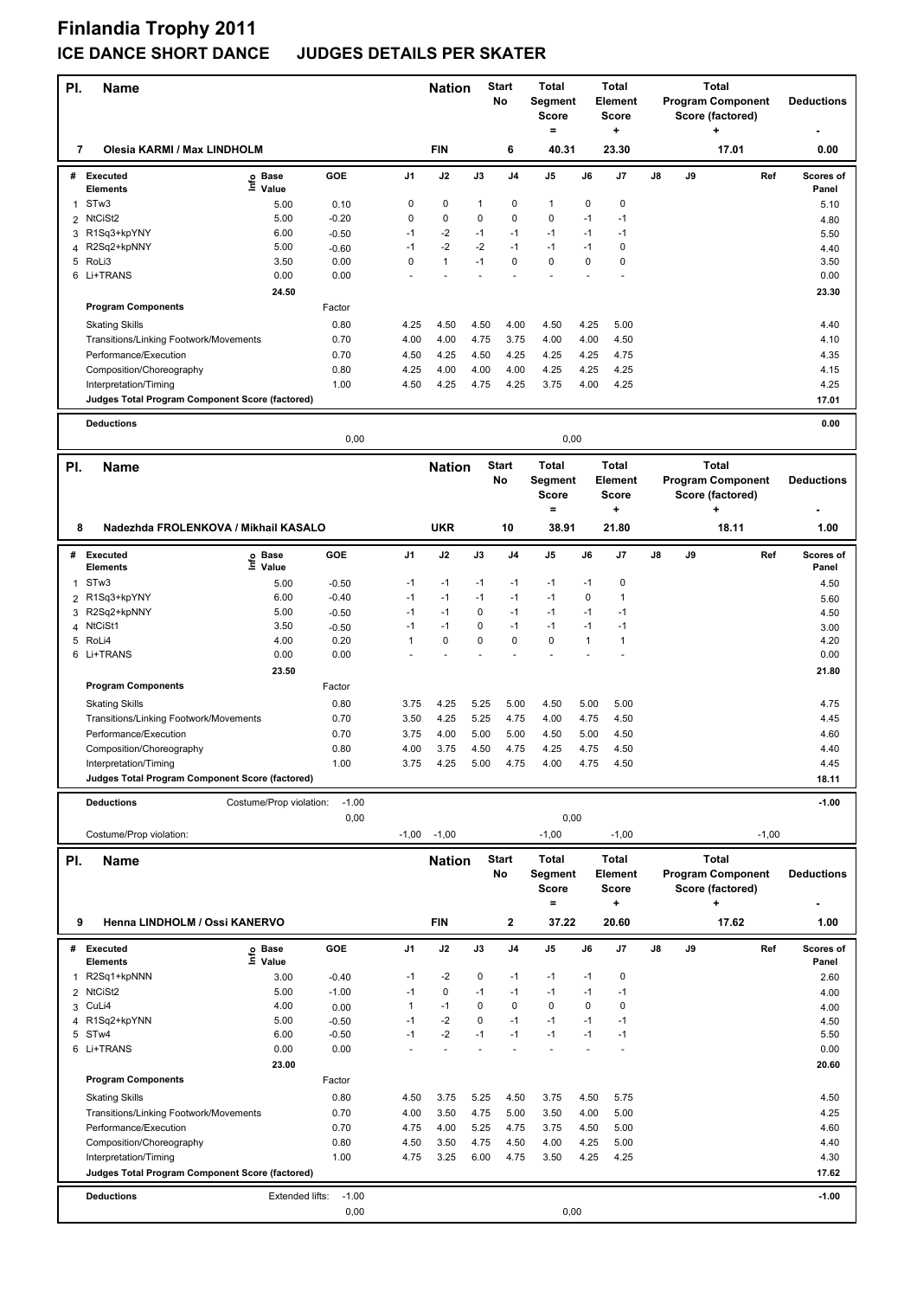# **Finlandia Trophy 2011 ICE DANCE SHORT DANCE JUDGES DETAILS PER SKATER**

| PI.          | <b>Name</b>                                                              |                         |                 |                      | <b>Start</b><br><b>Nation</b><br>No |              | <b>Total</b><br><b>Total</b><br>Segment<br>Element<br><b>Score</b><br>Score<br>$=$<br>+ |                   |              | <b>Total</b><br><b>Program Component</b><br>Score (factored) | <b>Deductions</b> |    |                          |                    |
|--------------|--------------------------------------------------------------------------|-------------------------|-----------------|----------------------|-------------------------------------|--------------|-----------------------------------------------------------------------------------------|-------------------|--------------|--------------------------------------------------------------|-------------------|----|--------------------------|--------------------|
| 7            | Olesia KARMI / Max LINDHOLM                                              |                         |                 |                      | <b>FIN</b>                          |              | 6                                                                                       | 40.31             |              | 23.30                                                        |                   |    | 17.01                    | 0.00               |
|              | # Executed                                                               | e Base<br>⊆ Value       | GOE             | J1                   | J2                                  | J3           | J4                                                                                      | J5                | J6           | J7                                                           | J8                | J9 | Ref                      | Scores of<br>Panel |
| 1            | <b>Elements</b><br>STw3                                                  | 5.00                    | 0.10            | 0                    | 0                                   | 1            | 0                                                                                       | 1                 | 0            | 0                                                            |                   |    |                          | 5.10               |
| 2            | NtCiSt2                                                                  | 5.00                    | $-0.20$         | 0                    | 0                                   | $\mathbf 0$  | 0                                                                                       | 0                 | $-1$         | $-1$                                                         |                   |    |                          | 4.80               |
|              | 3 R1Sq3+kpYNY                                                            | 6.00                    | $-0.50$         | $-1$                 | $-2$                                | $-1$         | $-1$                                                                                    | $-1$              | $-1$         | $-1$                                                         |                   |    |                          | 5.50               |
| 4            | R2Sq2+kpNNY                                                              | 5.00                    | $-0.60$         | $-1$                 | $-2$                                | $-2$         | $-1$                                                                                    | $-1$              | $-1$         | 0                                                            |                   |    |                          | 4.40               |
|              | 5 RoLi3                                                                  | 3.50                    | 0.00            | 0                    | $\mathbf{1}$                        | $-1$         | $\mathbf 0$                                                                             | 0                 | 0            | 0                                                            |                   |    |                          | 3.50               |
|              | 6 Li+TRANS                                                               | 0.00                    | 0.00            |                      |                                     |              |                                                                                         |                   |              |                                                              |                   |    |                          | 0.00               |
|              |                                                                          | 24.50                   |                 |                      |                                     |              |                                                                                         |                   |              |                                                              |                   |    |                          | 23.30              |
|              | <b>Program Components</b>                                                |                         | Factor          |                      |                                     |              |                                                                                         |                   |              |                                                              |                   |    |                          |                    |
|              | <b>Skating Skills</b>                                                    |                         | 0.80            | 4.25                 | 4.50                                | 4.50         | 4.00                                                                                    | 4.50              | 4.25         | 5.00                                                         |                   |    |                          | 4.40               |
|              | Transitions/Linking Footwork/Movements                                   |                         | 0.70            | 4.00                 | 4.00                                | 4.75         | 3.75                                                                                    | 4.00              | 4.00         | 4.50                                                         |                   |    |                          | 4.10               |
|              | Performance/Execution                                                    |                         | 0.70            | 4.50                 | 4.25                                | 4.50         | 4.25                                                                                    | 4.25              | 4.25         | 4.75                                                         |                   |    |                          | 4.35               |
|              | Composition/Choreography                                                 |                         | 0.80<br>1.00    | 4.25<br>4.50         | 4.00<br>4.25                        | 4.00<br>4.75 | 4.00<br>4.25                                                                            | 4.25<br>3.75      | 4.25<br>4.00 | 4.25<br>4.25                                                 |                   |    |                          | 4.15<br>4.25       |
|              | Interpretation/Timing<br>Judges Total Program Component Score (factored) |                         |                 |                      |                                     |              |                                                                                         |                   |              |                                                              |                   |    |                          | 17.01              |
|              |                                                                          |                         |                 |                      |                                     |              |                                                                                         |                   |              |                                                              |                   |    |                          |                    |
|              | <b>Deductions</b>                                                        |                         | 0,00            |                      |                                     |              |                                                                                         | 0,00              |              |                                                              |                   |    |                          | 0.00               |
| PI.          | <b>Name</b>                                                              |                         |                 |                      | <b>Nation</b>                       |              | <b>Start</b>                                                                            | <b>Total</b>      |              | Total                                                        |                   |    | <b>Total</b>             |                    |
|              |                                                                          |                         |                 |                      |                                     |              | No                                                                                      | Segment           |              | Element                                                      |                   |    | <b>Program Component</b> | <b>Deductions</b>  |
|              |                                                                          |                         |                 |                      |                                     |              |                                                                                         | <b>Score</b>      |              | Score                                                        |                   |    | Score (factored)         |                    |
|              |                                                                          |                         |                 |                      |                                     |              |                                                                                         | $\qquad \qquad =$ |              | +                                                            |                   |    | ÷                        |                    |
| 8            | Nadezhda FROLENKOVA / Mikhail KASALO                                     |                         |                 |                      | <b>UKR</b>                          |              | 10                                                                                      | 38.91             |              | 21.80                                                        |                   |    | 18.11                    | 1.00               |
| #            | <b>Executed</b>                                                          | e Base<br>⊆ Value       | GOE             | J1                   | J2                                  | J3           | J4                                                                                      | J5                | J6           | J7                                                           | J8                | J9 | Ref                      | Scores of          |
| 1            | <b>Elements</b><br>STw <sub>3</sub>                                      | 5.00                    | $-0.50$         | -1                   | $-1$                                | $-1$         | $-1$                                                                                    | $-1$              | $-1$         | 0                                                            |                   |    |                          | Panel<br>4.50      |
| 2            | R1Sq3+kpYNY                                                              | 6.00                    | $-0.40$         | $-1$                 | $-1$                                | $-1$         | $-1$                                                                                    | $-1$              | 0            | 1                                                            |                   |    |                          | 5.60               |
|              | 3 R2Sq2+kpNNY                                                            | 5.00                    | $-0.50$         | $-1$                 | $-1$                                | 0            | $-1$                                                                                    | $-1$              | $-1$         | $-1$                                                         |                   |    |                          | 4.50               |
| 4            | NtCiSt1                                                                  | 3.50                    | $-0.50$         | -1                   | $-1$                                | 0            | $-1$                                                                                    | $-1$              | $-1$         | $-1$                                                         |                   |    |                          | 3.00               |
|              | 5 RoLi4                                                                  | 4.00                    | 0.20            | $\mathbf{1}$         | 0                                   | 0            | $\mathbf 0$                                                                             | 0                 | 1            | 1                                                            |                   |    |                          | 4.20               |
|              | 6 Li+TRANS                                                               | 0.00                    | 0.00            |                      |                                     |              |                                                                                         |                   |              |                                                              |                   |    |                          | 0.00               |
|              |                                                                          | 23.50                   |                 |                      |                                     |              |                                                                                         |                   |              |                                                              |                   |    |                          | 21.80              |
|              | <b>Program Components</b>                                                |                         | Factor          |                      |                                     |              |                                                                                         |                   |              |                                                              |                   |    |                          |                    |
|              | <b>Skating Skills</b>                                                    |                         | 0.80            | 3.75                 | 4.25                                | 5.25         | 5.00                                                                                    | 4.50              | 5.00         | 5.00                                                         |                   |    |                          | 4.75               |
|              | Transitions/Linking Footwork/Movements                                   |                         | 0.70            | 3.50                 | 4.25                                | 5.25         | 4.75                                                                                    | 4.00              | 4.75         | 4.50                                                         |                   |    |                          | 4.45               |
|              | Performance/Execution                                                    |                         | 0.70            | 3.75                 | 4.00                                | 5.00         | 5.00                                                                                    | 4.50              | 5.00         | 4.50                                                         |                   |    |                          | 4.60               |
|              | Composition/Choreography                                                 |                         | 0.80            | 4.00                 | 3.75                                | 4.50         | 4.75                                                                                    | 4.25              | 4.75         | 4.50                                                         |                   |    |                          | 4.40               |
|              | Interpretation/Timing                                                    |                         | 1.00            | 3.75                 | 4.25                                | 5.00         | 4.75                                                                                    | 4.00              | 4.75         | 4.50                                                         |                   |    |                          | 4.45               |
|              | Judges Total Program Component Score (factored)                          |                         |                 |                      |                                     |              |                                                                                         |                   |              |                                                              |                   |    |                          | 18.11              |
|              | <b>Deductions</b>                                                        | Costume/Prop violation: | $-1.00$         |                      |                                     |              |                                                                                         |                   |              |                                                              |                   |    |                          | $-1.00$            |
|              |                                                                          |                         | 0,00            |                      |                                     |              |                                                                                         | 0,00              |              |                                                              |                   |    |                          |                    |
|              | Costume/Prop violation:                                                  |                         |                 |                      | $-1,00 -1,00$                       |              |                                                                                         | $-1,00$           |              | $-1,00$                                                      |                   |    | $-1,00$                  |                    |
| PI.          | <b>Name</b>                                                              |                         |                 |                      | <b>Nation</b>                       |              | <b>Start</b>                                                                            | Total             |              | Total                                                        |                   |    | <b>Total</b>             |                    |
|              |                                                                          |                         |                 |                      |                                     |              | No                                                                                      | Segment           |              | Element                                                      |                   |    | <b>Program Component</b> | <b>Deductions</b>  |
|              |                                                                          |                         |                 |                      |                                     |              |                                                                                         | <b>Score</b>      |              | <b>Score</b>                                                 |                   |    | Score (factored)         |                    |
|              |                                                                          |                         |                 |                      |                                     |              |                                                                                         | $\qquad \qquad =$ |              | ٠                                                            |                   |    | ÷                        |                    |
| 9            | Henna LINDHOLM / Ossi KANERVO                                            |                         |                 |                      | <b>FIN</b>                          |              | $\overline{\mathbf{2}}$                                                                 | 37.22             |              | 20.60                                                        |                   |    | 17.62                    | 1.00               |
|              | # Executed                                                               | e Base<br>⊆ Value       | GOE             | J1                   | J2                                  | J3           | J4                                                                                      | J5                | J6           | J7                                                           | J8                | J9 | Ref                      | Scores of          |
|              | <b>Elements</b>                                                          |                         |                 |                      |                                     |              |                                                                                         |                   |              |                                                              |                   |    |                          | Panel              |
| $\mathbf{1}$ | R2Sq1+kpNNN                                                              | 3.00                    | $-0.40$         | $-1$                 | $-2$                                | 0            | $-1$                                                                                    | $-1$              | $-1$         | 0                                                            |                   |    |                          | 2.60               |
| 3            | 2 NtCiSt2<br>CuLi4                                                       | 5.00<br>4.00            | $-1.00$<br>0.00 | $-1$<br>$\mathbf{1}$ | 0<br>$-1$                           | $-1$<br>0    | $-1$<br>$\mathbf 0$                                                                     | $-1$<br>0         | $-1$<br>0    | $-1$<br>0                                                    |                   |    |                          | 4.00               |
|              | 4 R1Sq2+kpYNN                                                            | 5.00                    | $-0.50$         | $-1$                 | $-2$                                | 0            | $-1$                                                                                    | $-1$              | $-1$         | $-1$                                                         |                   |    |                          | 4.00<br>4.50       |
|              | 5 STw4                                                                   | 6.00                    | $-0.50$         | $-1$                 | $-2$                                | $-1$         | $-1$                                                                                    | $-1$              | $-1$         | $-1$                                                         |                   |    |                          | 5.50               |
|              | 6 Li+TRANS                                                               | 0.00                    | 0.00            |                      | ÷,                                  |              |                                                                                         | $\overline{a}$    |              |                                                              |                   |    |                          | 0.00               |
|              |                                                                          | 23.00                   |                 |                      |                                     |              |                                                                                         |                   |              |                                                              |                   |    |                          | 20.60              |
|              | <b>Program Components</b>                                                |                         | Factor          |                      |                                     |              |                                                                                         |                   |              |                                                              |                   |    |                          |                    |
|              | <b>Skating Skills</b>                                                    |                         | 0.80            | 4.50                 | 3.75                                | 5.25         | 4.50                                                                                    | 3.75              | 4.50         | 5.75                                                         |                   |    |                          | 4.50               |
|              | Transitions/Linking Footwork/Movements                                   |                         | 0.70            | 4.00                 | 3.50                                | 4.75         | 5.00                                                                                    | 3.50              | 4.00         | 5.00                                                         |                   |    |                          | 4.25               |
|              | Performance/Execution                                                    |                         | 0.70            | 4.75                 | 4.00                                | 5.25         | 4.75                                                                                    | 3.75              | 4.50         | 5.00                                                         |                   |    |                          | 4.60               |
|              | Composition/Choreography                                                 |                         | 0.80            | 4.50                 | 3.50                                | 4.75         | 4.50                                                                                    | 4.00              | 4.25         | 5.00                                                         |                   |    |                          | 4.40               |
|              | Interpretation/Timing                                                    |                         | 1.00            | 4.75                 | 3.25                                | 6.00         | 4.75                                                                                    | 3.50              | 4.25         | 4.25                                                         |                   |    |                          | 4.30               |
|              | Judges Total Program Component Score (factored)                          |                         |                 |                      |                                     |              |                                                                                         |                   |              |                                                              |                   |    |                          | 17.62              |
|              | <b>Deductions</b>                                                        | Extended lifts:         | $-1.00$         |                      |                                     |              |                                                                                         |                   |              |                                                              |                   |    |                          | $-1.00$            |
|              |                                                                          |                         | 0,00            |                      |                                     |              |                                                                                         | 0,00              |              |                                                              |                   |    |                          |                    |